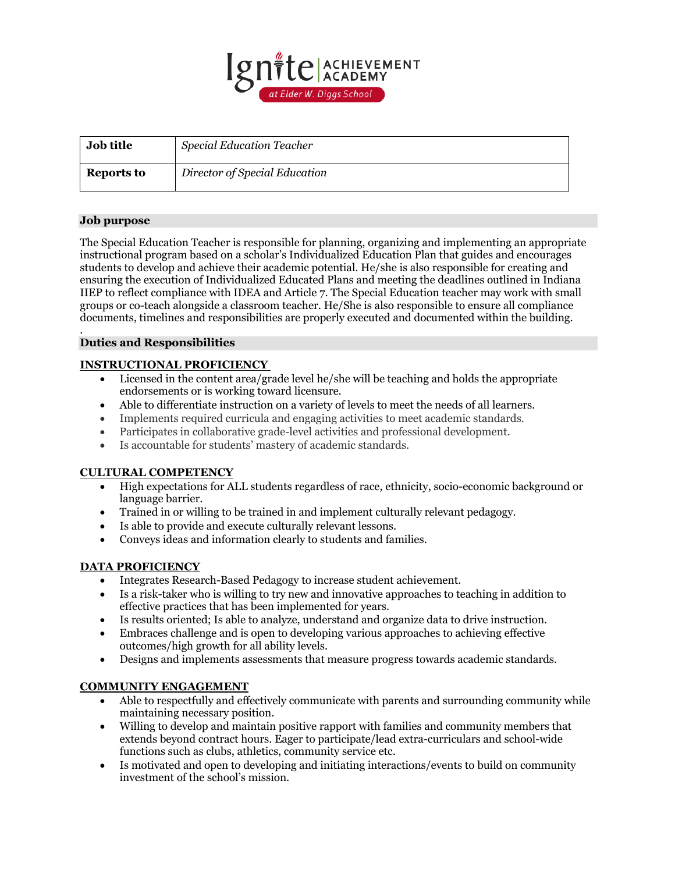

| <b>Job title</b> | <b>Special Education Teacher</b> |
|------------------|----------------------------------|
| Reports to       | Director of Special Education    |

## **Job purpose**

The Special Education Teacher is responsible for planning, organizing and implementing an appropriate instructional program based on a scholar's Individualized Education Plan that guides and encourages students to develop and achieve their academic potential. He/she is also responsible for creating and ensuring the execution of Individualized Educated Plans and meeting the deadlines outlined in Indiana IIEP to reflect compliance with IDEA and Article 7. The Special Education teacher may work with small groups or co-teach alongside a classroom teacher. He/She is also responsible to ensure all compliance documents, timelines and responsibilities are properly executed and documented within the building.

#### . **Duties and Responsibilities**

## **INSTRUCTIONAL PROFICIENCY**

- Licensed in the content area/grade level he/she will be teaching and holds the appropriate endorsements or is working toward licensure.
- Able to differentiate instruction on a variety of levels to meet the needs of all learners.
- Implements required curricula and engaging activities to meet academic standards.
- Participates in collaborative grade-level activities and professional development.
- Is accountable for students' mastery of academic standards.

### **CULTURAL COMPETENCY**

- High expectations for ALL students regardless of race, ethnicity, socio-economic background or language barrier.
- Trained in or willing to be trained in and implement culturally relevant pedagogy.
- Is able to provide and execute culturally relevant lessons.
- Conveys ideas and information clearly to students and families.

### **DATA PROFICIENCY**

- Integrates Research-Based Pedagogy to increase student achievement.
- Is a risk-taker who is willing to try new and innovative approaches to teaching in addition to effective practices that has been implemented for years.
- Is results oriented; Is able to analyze, understand and organize data to drive instruction.
- Embraces challenge and is open to developing various approaches to achieving effective outcomes/high growth for all ability levels.
- Designs and implements assessments that measure progress towards academic standards.

# **COMMUNITY ENGAGEMENT**

- Able to respectfully and effectively communicate with parents and surrounding community while maintaining necessary position.
- Willing to develop and maintain positive rapport with families and community members that extends beyond contract hours. Eager to participate/lead extra-curriculars and school-wide functions such as clubs, athletics, community service etc.
- Is motivated and open to developing and initiating interactions/events to build on community investment of the school's mission.